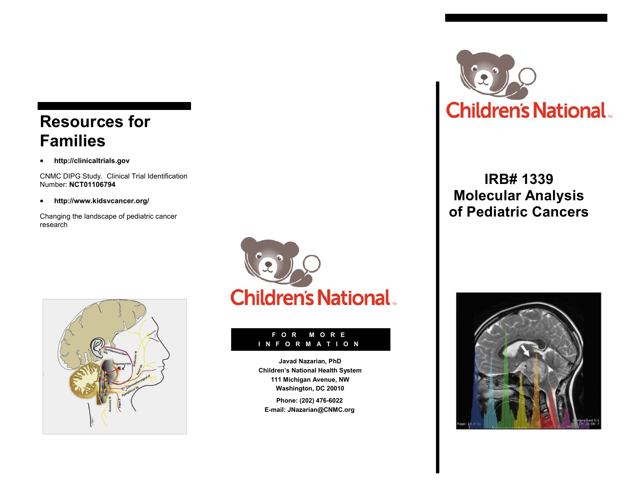# **Resources for Families**

**http://clinicaltrials.gov** 

CNMC DIPG Study. Clinical Trial Identification Number: **NCT01106794**

**http://www.kidsvcancer.org/** 

Changing the landscape of pediatric cancer research





#### **F O R M O R E I N F O R M A T I O N**

**Javad Nazarian, PhD Children's National Health System 111 Michigan Avenue, NW Washington, DC 20010**

**Phone: (202) 476-6022 E-mail: JNazarian@CNMC.org**



## **IRB# 1339 Molecular Analysis of Pediatric Cancers**